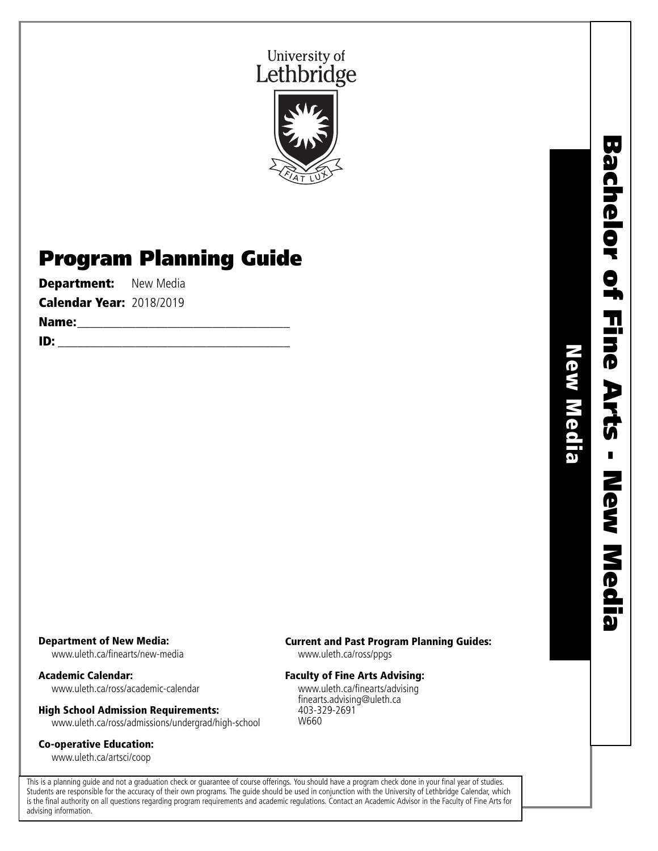



# Program Planning Guide

**Department:** New Media

Calendar Year: 2018/2019

Name:\_\_\_\_\_\_\_\_\_\_\_\_\_\_\_\_\_\_\_\_\_\_\_\_\_\_\_\_\_\_\_\_\_

ID: \_\_\_\_\_\_\_\_\_\_\_\_\_\_\_\_\_\_\_\_\_\_\_\_\_\_\_\_\_\_\_\_\_\_\_\_

New Media

New Media

### Department of New Media:

www.uleth.ca/finearts/new-media

Academic Calendar: www.uleth.ca/ross/academic-calendar

# High School Admission Requirements:

www.uleth.ca/ross/admissions/undergrad/high-school

## Co-operative Education:

www.uleth.ca/artsci/coop

#### Current and Past Program Planning Guides:

www.uleth.ca/ross/ppgs

### Faculty of Fine Arts Advising:

www.uleth.ca/finearts/advising finearts.advising@uleth.ca 403-329-2691 W660

This is a planning guide and not a graduation check or guarantee of course offerings. You should have a program check done in your final year of studies. Students are responsible for the accuracy of their own programs. The guide should be used in conjunction with the University of Lethbridge Calendar, which is the final authority on all questions regarding program requirements and academic regulations. Contact an Academic Advisor in the Faculty of Fine Arts for advising information.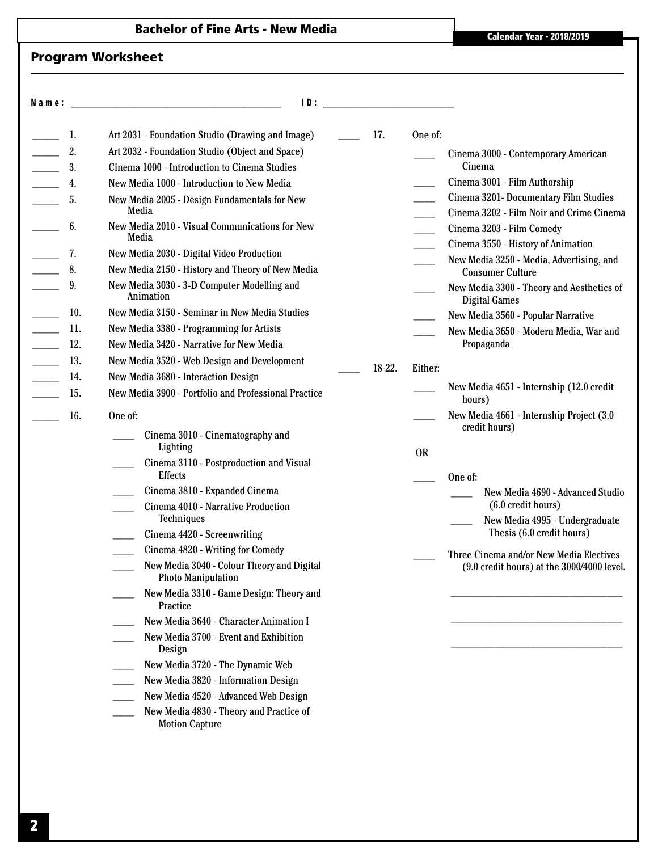# Bachelor of Fine Arts - New Media **Calendar Year - 2018/2019**

## Program Worksheet

| N a m e : |     | ID:                                                                     | <u> 1980 - Jan Stein Stein Stein Stein Stein Stein Stein Stein Stein Stein Stein Stein Stein Stein Stein Stein S</u> |           |                                                                                                 |
|-----------|-----|-------------------------------------------------------------------------|----------------------------------------------------------------------------------------------------------------------|-----------|-------------------------------------------------------------------------------------------------|
|           | 1.  | Art 2031 - Foundation Studio (Drawing and Image)                        | 17.                                                                                                                  | One of:   |                                                                                                 |
|           | 2.  | Art 2032 - Foundation Studio (Object and Space)                         |                                                                                                                      |           | Cinema 3000 - Contemporary American                                                             |
|           | 3.  | Cinema 1000 - Introduction to Cinema Studies                            |                                                                                                                      |           | Cinema                                                                                          |
|           | 4.  | New Media 1000 - Introduction to New Media                              |                                                                                                                      |           | Cinema 3001 - Film Authorship                                                                   |
|           | 5.  | New Media 2005 - Design Fundamentals for New<br>Media                   |                                                                                                                      |           | Cinema 3201- Documentary Film Studies<br>Cinema 3202 - Film Noir and Crime Cinema               |
|           | 6.  | New Media 2010 - Visual Communications for New<br>Media                 |                                                                                                                      |           | Cinema 3203 - Film Comedy<br>Cinema 3550 - History of Animation                                 |
|           | 7.  | New Media 2030 - Digital Video Production                               |                                                                                                                      |           | New Media 3250 - Media, Advertising, and                                                        |
|           | 8.  | New Media 2150 - History and Theory of New Media                        |                                                                                                                      |           | <b>Consumer Culture</b>                                                                         |
|           | 9.  | New Media 3030 - 3-D Computer Modelling and<br>Animation                |                                                                                                                      |           | New Media 3300 - Theory and Aesthetics of<br><b>Digital Games</b>                               |
|           | 10. | New Media 3150 - Seminar in New Media Studies                           |                                                                                                                      |           | New Media 3560 - Popular Narrative                                                              |
|           | 11. | New Media 3380 - Programming for Artists                                |                                                                                                                      |           | New Media 3650 - Modern Media, War and                                                          |
|           | 12. | New Media 3420 - Narrative for New Media                                |                                                                                                                      |           | Propaganda                                                                                      |
|           | 13. | New Media 3520 - Web Design and Development                             | 18-22.                                                                                                               | Either:   |                                                                                                 |
|           | 14. | New Media 3680 - Interaction Design                                     |                                                                                                                      |           |                                                                                                 |
|           | 15. | New Media 3900 - Portfolio and Professional Practice                    |                                                                                                                      |           | New Media 4651 - Internship (12.0 credit)<br>hours)                                             |
|           | 16. | One of:                                                                 |                                                                                                                      |           | New Media 4661 - Internship Project (3.0<br>credit hours)                                       |
|           |     | Cinema 3010 - Cinematography and<br>Lighting                            |                                                                                                                      |           |                                                                                                 |
|           |     | Cinema 3110 - Postproduction and Visual                                 |                                                                                                                      | <b>OR</b> |                                                                                                 |
|           |     | <b>Effects</b>                                                          |                                                                                                                      |           | One of:                                                                                         |
|           |     | Cinema 3810 - Expanded Cinema                                           |                                                                                                                      |           | New Media 4690 - Advanced Studio                                                                |
|           |     | Cinema 4010 - Narrative Production<br>Techniques                        |                                                                                                                      |           | (6.0 credit hours)<br>New Media 4995 - Undergraduate                                            |
|           |     | Cinema 4420 - Screenwriting                                             |                                                                                                                      |           | Thesis (6.0 credit hours)                                                                       |
|           |     | Cinema 4820 - Writing for Comedy                                        |                                                                                                                      |           |                                                                                                 |
|           |     | New Media 3040 - Colour Theory and Digital<br><b>Photo Manipulation</b> |                                                                                                                      |           | Three Cinema and/or New Media Electives<br>$(9.0 \text{ credit hours})$ at the 3000/4000 level. |
|           |     | New Media 3310 - Game Design: Theory and<br>Practice                    |                                                                                                                      |           |                                                                                                 |
|           |     | New Media 3640 - Character Animation I                                  |                                                                                                                      |           |                                                                                                 |
|           |     | New Media 3700 - Event and Exhibition<br>Design                         |                                                                                                                      |           |                                                                                                 |
|           |     | New Media 3720 - The Dynamic Web                                        |                                                                                                                      |           |                                                                                                 |
|           |     | New Media 3820 - Information Design                                     |                                                                                                                      |           |                                                                                                 |
|           |     | New Media 4520 - Advanced Web Design                                    |                                                                                                                      |           |                                                                                                 |
|           |     | New Media 4830 - Theory and Practice of<br><b>Motion Capture</b>        |                                                                                                                      |           |                                                                                                 |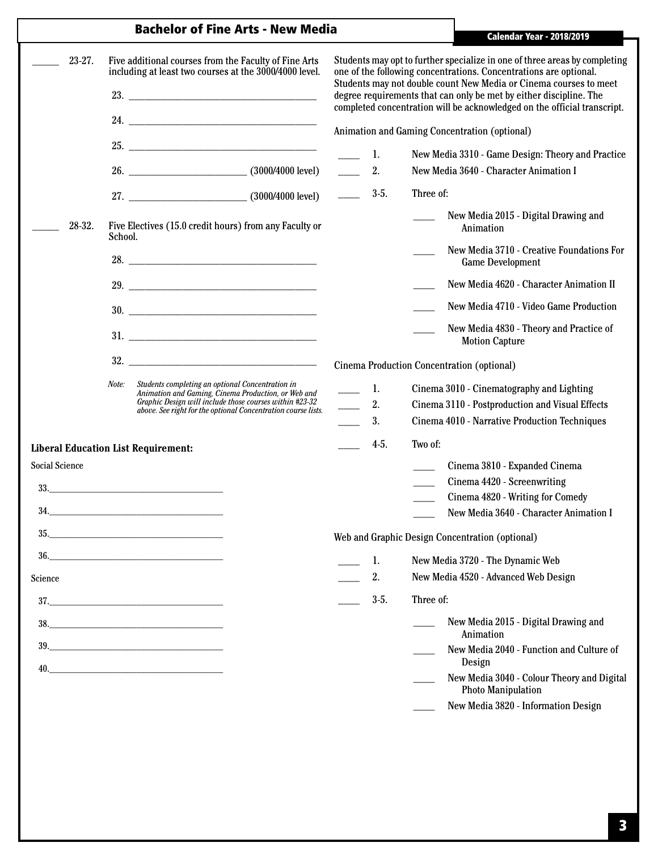|                       | <b>Bachelor of Fine Arts - New Media</b>                                                                                                                                                                                                     | <b>Calendar Year - 2018/2019</b>           |                                                                                                                                                                                                                                                                                                                                                                        |  |  |
|-----------------------|----------------------------------------------------------------------------------------------------------------------------------------------------------------------------------------------------------------------------------------------|--------------------------------------------|------------------------------------------------------------------------------------------------------------------------------------------------------------------------------------------------------------------------------------------------------------------------------------------------------------------------------------------------------------------------|--|--|
| 23-27.                | Five additional courses from the Faculty of Fine Arts<br>including at least two courses at the 3000/4000 level.<br>23.                                                                                                                       |                                            | Students may opt to further specialize in one of three areas by completing<br>one of the following concentrations. Concentrations are optional.<br>Students may not double count New Media or Cinema courses to meet<br>degree requirements that can only be met by either discipline. The<br>completed concentration will be acknowledged on the official transcript. |  |  |
|                       |                                                                                                                                                                                                                                              |                                            | Animation and Gaming Concentration (optional)                                                                                                                                                                                                                                                                                                                          |  |  |
|                       | 25.                                                                                                                                                                                                                                          | 1.                                         | New Media 3310 - Game Design: Theory and Practice                                                                                                                                                                                                                                                                                                                      |  |  |
|                       |                                                                                                                                                                                                                                              | 2.                                         | New Media 3640 - Character Animation I                                                                                                                                                                                                                                                                                                                                 |  |  |
|                       |                                                                                                                                                                                                                                              | $3-5.$                                     | Three of:                                                                                                                                                                                                                                                                                                                                                              |  |  |
| 28-32.                | Five Electives (15.0 credit hours) from any Faculty or<br>School.                                                                                                                                                                            |                                            | New Media 2015 - Digital Drawing and<br>Animation                                                                                                                                                                                                                                                                                                                      |  |  |
|                       |                                                                                                                                                                                                                                              |                                            | New Media 3710 - Creative Foundations For<br><b>Game Development</b>                                                                                                                                                                                                                                                                                                   |  |  |
|                       |                                                                                                                                                                                                                                              |                                            | New Media 4620 - Character Animation II                                                                                                                                                                                                                                                                                                                                |  |  |
|                       | 30.                                                                                                                                                                                                                                          |                                            | New Media 4710 - Video Game Production                                                                                                                                                                                                                                                                                                                                 |  |  |
|                       | 31.                                                                                                                                                                                                                                          |                                            | New Media 4830 - Theory and Practice of<br><b>Motion Capture</b>                                                                                                                                                                                                                                                                                                       |  |  |
|                       |                                                                                                                                                                                                                                              | Cinema Production Concentration (optional) |                                                                                                                                                                                                                                                                                                                                                                        |  |  |
|                       | Note:<br>Students completing an optional Concentration in<br>Animation and Gaming, Cinema Production, or Web and<br>Graphic Design will include those courses within #23-32<br>above. See right for the optional Concentration course lists. | 1.<br>2.<br>3.                             | Cinema 3010 - Cinematography and Lighting<br>Cinema 3110 - Postproduction and Visual Effects<br>Cinema 4010 - Narrative Production Techniques                                                                                                                                                                                                                          |  |  |
|                       | <b>Liberal Education List Requirement:</b>                                                                                                                                                                                                   | $4-5.$                                     | Two of:                                                                                                                                                                                                                                                                                                                                                                |  |  |
| <b>Social Science</b> | 33.                                                                                                                                                                                                                                          |                                            | Cinema 3810 - Expanded Cinema<br>$\sim$<br>Cinema 4420 - Screenwriting<br>Cinema 4820 - Writing for Comedy<br>New Media 3640 - Character Animation I                                                                                                                                                                                                                   |  |  |
|                       | 35.                                                                                                                                                                                                                                          |                                            | Web and Graphic Design Concentration (optional)                                                                                                                                                                                                                                                                                                                        |  |  |
|                       | $\begin{array}{c} 36. \end{array}$                                                                                                                                                                                                           | 1.                                         | New Media 3720 - The Dynamic Web                                                                                                                                                                                                                                                                                                                                       |  |  |
| Science               |                                                                                                                                                                                                                                              | 2.                                         | New Media 4520 - Advanced Web Design                                                                                                                                                                                                                                                                                                                                   |  |  |
|                       | $\begin{tabular}{c} 37. \end{tabular}$                                                                                                                                                                                                       | $3-5.$                                     | Three of:                                                                                                                                                                                                                                                                                                                                                              |  |  |
|                       |                                                                                                                                                                                                                                              |                                            | New Media 2015 - Digital Drawing and<br>Animation                                                                                                                                                                                                                                                                                                                      |  |  |
|                       | $39. \hspace{20pt} \rule{20pt}{0pt} \vspace{2mm}$                                                                                                                                                                                            |                                            | New Media 2040 - Function and Culture of<br>Design                                                                                                                                                                                                                                                                                                                     |  |  |
|                       | 40.                                                                                                                                                                                                                                          |                                            | New Media 3040 - Colour Theory and Digital<br><b>Photo Manipulation</b>                                                                                                                                                                                                                                                                                                |  |  |
|                       |                                                                                                                                                                                                                                              |                                            | New Media 3820 - Information Design                                                                                                                                                                                                                                                                                                                                    |  |  |